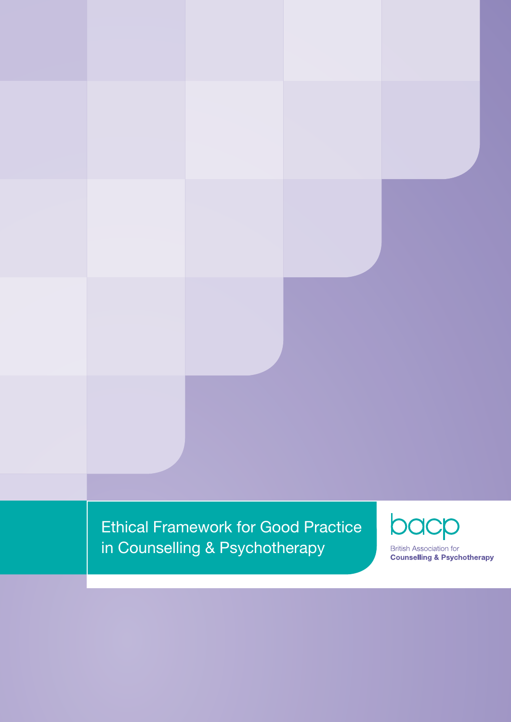Ethical Framework for Good Practice in Counselling & Psychotherapy



**British Association for Counselling & Psychotherapy**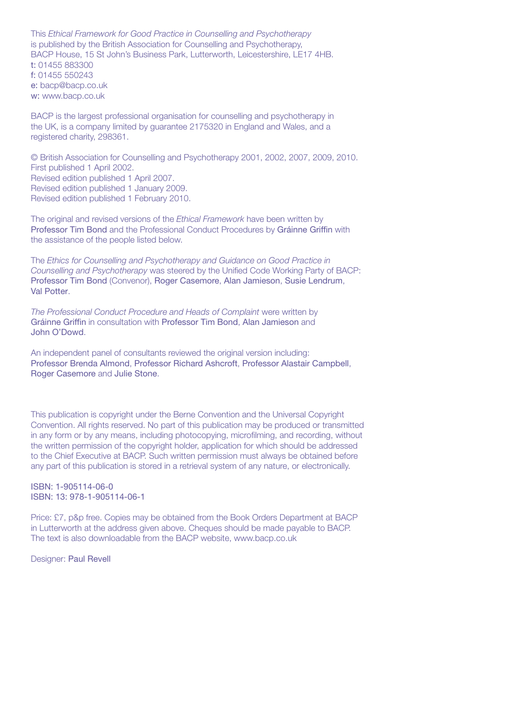This *Ethical Framework for Good Practice in Counselling and Psychotherapy* is published by the British Association for Counselling and Psychotherapy, BACP House, 15 St John's Business Park, Lutterworth, Leicestershire, LE17 4HB. t: 01455 883300 f: 01455 550243 e: bacp@bacp.co.uk w: www.bacp.co.uk

BACP is the largest professional organisation for counselling and psychotherapy in the UK, is a company limited by guarantee 2175320 in England and Wales, and a registered charity, 298361.

© British Association for Counselling and Psychotherapy 2001, 2002, 2007, 2009, 2010. First published 1 April 2002. Revised edition published 1 April 2007. Revised edition published 1 January 2009. Revised edition published 1 February 2010.

The original and revised versions of the *Ethical Framework* have been written by Professor Tim Bond and the Professional Conduct Procedures by Gráinne Griffin with the assistance of the people listed below.

The *Ethics for Counselling and Psychotherapy and Guidance on Good Practice in Counselling and Psychotherapy* was steered by the Unified Code Working Party of BACP: Professor Tim Bond (Convenor), Roger Casemore, Alan Jamieson, Susie Lendrum, Val Potter.

*The Professional Conduct Procedure and Heads of Complaint* were written by Gráinne Griffin in consultation with Professor Tim Bond, Alan Jamieson and John O'Dowd.

An independent panel of consultants reviewed the original version including: Professor Brenda Almond, Professor Richard Ashcroft, Professor Alastair Campbell, Roger Casemore and Julie Stone.

This publication is copyright under the Berne Convention and the Universal Copyright Convention. All rights reserved. No part of this publication may be produced or transmitted in any form or by any means, including photocopying, microfilming, and recording, without the written permission of the copyright holder, application for which should be addressed to the Chief Executive at BACP. Such written permission must always be obtained before any part of this publication is stored in a retrieval system of any nature, or electronically.

ISBN: 1-905114-06-0 ISBN: 13: 978-1-905114-06-1

Price: £7, p&p free. Copies may be obtained from the Book Orders Department at BACP in Lutterworth at the address given above. Cheques should be made payable to BACP. The text is also downloadable from the BACP website, www.bacp.co.uk

Designer: Paul Revell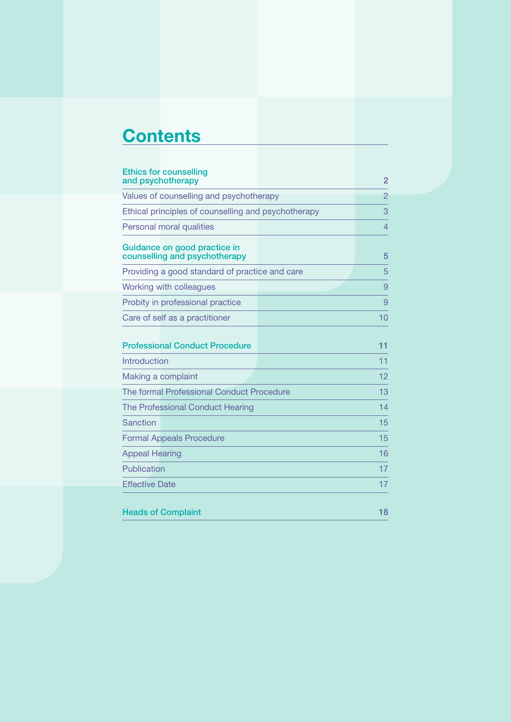# **Contents**

| <b>Ethics for counselling</b><br>and psychotherapy            | $\overline{2}$ |
|---------------------------------------------------------------|----------------|
| Values of counselling and psychotherapy                       | $\overline{2}$ |
| Ethical principles of counselling and psychotherapy           | 3              |
| Personal moral qualities                                      | $\overline{4}$ |
| Guidance on good practice in<br>counselling and psychotherapy | 5              |
| Providing a good standard of practice and care                | 5              |
| Working with colleagues                                       | 9              |
| Probity in professional practice                              | 9              |
| Care of self as a practitioner                                | 10             |
| <b>Professional Conduct Procedure</b>                         | 11             |
| Introduction                                                  | 11             |
| Making a complaint                                            | 12             |
| The formal Professional Conduct Procedure                     | 13             |
| The Professional Conduct Hearing                              | 14             |
| Sanction                                                      | 15             |
| <b>Formal Appeals Procedure</b>                               | 15             |
| <b>Appeal Hearing</b>                                         | 16             |
| Publication                                                   | 17             |
| <b>Effective Date</b>                                         | 17             |
| <b>Heads of Complaint</b>                                     | 18             |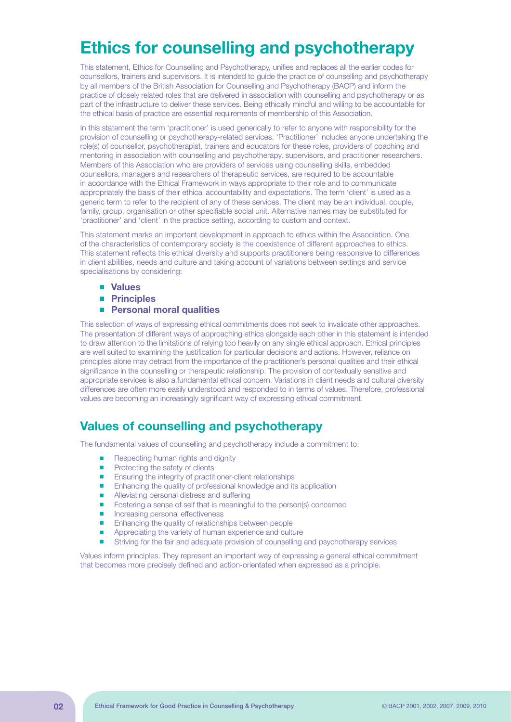# Ethics for counselling and psychotherapy

This statement, Ethics for Counselling and Psychotherapy, unifies and replaces all the earlier codes for counsellors, trainers and supervisors. It is intended to guide the practice of counselling and psychotherapy by all members of the British Association for Counselling and Psychotherapy (BACP) and inform the practice of closely related roles that are delivered in association with counselling and psychotherapy or as part of the infrastructure to deliver these services. Being ethically mindful and willing to be accountable for the ethical basis of practice are essential requirements of membership of this Association.

In this statement the term 'practitioner' is used generically to refer to anyone with responsibility for the provision of counselling or psychotherapy-related services. 'Practitioner' includes anyone undertaking the role(s) of counsellor, psychotherapist, trainers and educators for these roles, providers of coaching and mentoring in association with counselling and psychotherapy, supervisors, and practitioner researchers. Members of this Association who are providers of services using counselling skills, embedded counsellors, managers and researchers of therapeutic services, are required to be accountable in accordance with the Ethical Framework in ways appropriate to their role and to communicate appropriately the basis of their ethical accountability and expectations. The term 'client' is used as a generic term to refer to the recipient of any of these services. The client may be an individual, couple, family, group, organisation or other specifiable social unit. Alternative names may be substituted for 'practitioner' and 'client' in the practice setting, according to custom and context.

This statement marks an important development in approach to ethics within the Association. One of the characteristics of contemporary society is the coexistence of different approaches to ethics. This statement reflects this ethical diversity and supports practitioners being responsive to differences in client abilities, needs and culture and taking account of variations between settings and service specialisations by considering:

- <sup>n</sup> Values
- **n** Principles
- **n** Personal moral qualities

This selection of ways of expressing ethical commitments does not seek to invalidate other approaches. The presentation of different ways of approaching ethics alongside each other in this statement is intended to draw attention to the limitations of relying too heavily on any single ethical approach. Ethical principles are well suited to examining the justification for particular decisions and actions. However, reliance on principles alone may detract from the importance of the practitioner's personal qualities and their ethical significance in the counselling or therapeutic relationship. The provision of contextually sensitive and appropriate services is also a fundamental ethical concern. Variations in client needs and cultural diversity differences are often more easily understood and responded to in terms of values. Therefore, professional values are becoming an increasingly significant way of expressing ethical commitment.

## Values of counselling and psychotherapy

The fundamental values of counselling and psychotherapy include a commitment to:

- **n** Respecting human rights and dignity
- **n** Protecting the safety of clients
- **n** Ensuring the integrity of practitioner-client relationships
- **n** Enhancing the quality of professional knowledge and its application
- **n** Alleviating personal distress and suffering
- Fostering a sense of self that is meaningful to the person(s) concerned
- **n** Increasing personal effectiveness
- $\blacksquare$  Enhancing the quality of relationships between people
- <sup>n</sup> Appreciating the variety of human experience and culture
- Striving for the fair and adequate provision of counselling and psychotherapy services

Values inform principles. They represent an important way of expressing a general ethical commitment that becomes more precisely defined and action-orientated when expressed as a principle.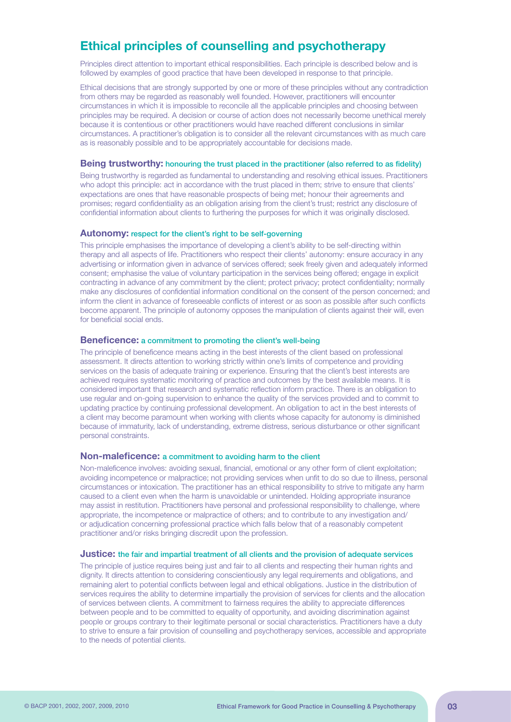# Ethical principles of counselling and psychotherapy

Principles direct attention to important ethical responsibilities. Each principle is described below and is followed by examples of good practice that have been developed in response to that principle.

Ethical decisions that are strongly supported by one or more of these principles without any contradiction from others may be regarded as reasonably well founded. However, practitioners will encounter circumstances in which it is impossible to reconcile all the applicable principles and choosing between principles may be required. A decision or course of action does not necessarily become unethical merely because it is contentious or other practitioners would have reached different conclusions in similar circumstances. A practitioner's obligation is to consider all the relevant circumstances with as much care as is reasonably possible and to be appropriately accountable for decisions made.

#### **Being trustworthy:** honouring the trust placed in the practitioner (also referred to as fidelity)

Being trustworthy is regarded as fundamental to understanding and resolving ethical issues. Practitioners who adopt this principle: act in accordance with the trust placed in them; strive to ensure that clients' expectations are ones that have reasonable prospects of being met; honour their agreements and promises; regard confidentiality as an obligation arising from the client's trust; restrict any disclosure of confidential information about clients to furthering the purposes for which it was originally disclosed.

#### Autonomy: respect for the client's right to be self-governing

This principle emphasises the importance of developing a client's ability to be self-directing within therapy and all aspects of life. Practitioners who respect their clients' autonomy: ensure accuracy in any advertising or information given in advance of services offered; seek freely given and adequately informed consent; emphasise the value of voluntary participation in the services being offered; engage in explicit contracting in advance of any commitment by the client; protect privacy; protect confidentiality; normally make any disclosures of confidential information conditional on the consent of the person concerned; and inform the client in advance of foreseeable conflicts of interest or as soon as possible after such conflicts become apparent. The principle of autonomy opposes the manipulation of clients against their will, even for beneficial social ends.

#### Beneficence: a commitment to promoting the client's well-being

The principle of beneficence means acting in the best interests of the client based on professional assessment. It directs attention to working strictly within one's limits of competence and providing services on the basis of adequate training or experience. Ensuring that the client's best interests are achieved requires systematic monitoring of practice and outcomes by the best available means. It is considered important that research and systematic reflection inform practice. There is an obligation to use regular and on-going supervision to enhance the quality of the services provided and to commit to updating practice by continuing professional development. An obligation to act in the best interests of a client may become paramount when working with clients whose capacity for autonomy is diminished because of immaturity, lack of understanding, extreme distress, serious disturbance or other significant personal constraints.

#### Non-maleficence: a commitment to avoiding harm to the client

Non-maleficence involves: avoiding sexual, financial, emotional or any other form of client exploitation; avoiding incompetence or malpractice; not providing services when unfit to do so due to illness, personal circumstances or intoxication. The practitioner has an ethical responsibility to strive to mitigate any harm caused to a client even when the harm is unavoidable or unintended. Holding appropriate insurance may assist in restitution. Practitioners have personal and professional responsibility to challenge, where appropriate, the incompetence or malpractice of others; and to contribute to any investigation and/ or adjudication concerning professional practice which falls below that of a reasonably competent practitioner and/or risks bringing discredit upon the profession.

#### **Justice:** the fair and impartial treatment of all clients and the provision of adequate services

The principle of justice requires being just and fair to all clients and respecting their human rights and dignity. It directs attention to considering conscientiously any legal requirements and obligations, and remaining alert to potential conflicts between legal and ethical obligations. Justice in the distribution of services requires the ability to determine impartially the provision of services for clients and the allocation of services between clients. A commitment to fairness requires the ability to appreciate differences between people and to be committed to equality of opportunity, and avoiding discrimination against people or groups contrary to their legitimate personal or social characteristics. Practitioners have a duty to strive to ensure a fair provision of counselling and psychotherapy services, accessible and appropriate to the needs of potential clients.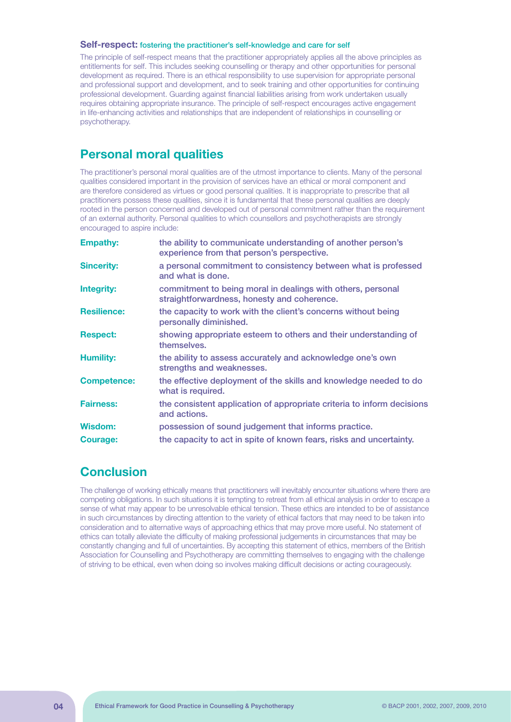#### Self-respect: fostering the practitioner's self-knowledge and care for self

The principle of self-respect means that the practitioner appropriately applies all the above principles as entitlements for self. This includes seeking counselling or therapy and other opportunities for personal development as required. There is an ethical responsibility to use supervision for appropriate personal and professional support and development, and to seek training and other opportunities for continuing professional development. Guarding against financial liabilities arising from work undertaken usually requires obtaining appropriate insurance. The principle of self-respect encourages active engagement in life-enhancing activities and relationships that are independent of relationships in counselling or psychotherapy.

## Personal moral qualities

The practitioner's personal moral qualities are of the utmost importance to clients. Many of the personal qualities considered important in the provision of services have an ethical or moral component and are therefore considered as virtues or good personal qualities. It is inappropriate to prescribe that all practitioners possess these qualities, since it is fundamental that these personal qualities are deeply rooted in the person concerned and developed out of personal commitment rather than the requirement of an external authority. Personal qualities to which counsellors and psychotherapists are strongly encouraged to aspire include:

| <b>Empathy:</b>    | the ability to communicate understanding of another person's<br>experience from that person's perspective. |
|--------------------|------------------------------------------------------------------------------------------------------------|
| <b>Sincerity:</b>  | a personal commitment to consistency between what is professed<br>and what is done.                        |
| <b>Integrity:</b>  | commitment to being moral in dealings with others, personal<br>straightforwardness, honesty and coherence. |
| <b>Resilience:</b> | the capacity to work with the client's concerns without being<br>personally diminished.                    |
| <b>Respect:</b>    | showing appropriate esteem to others and their understanding of<br>themselves.                             |
| <b>Humility:</b>   | the ability to assess accurately and acknowledge one's own<br>strengths and weaknesses.                    |
| <b>Competence:</b> | the effective deployment of the skills and knowledge needed to do<br>what is required.                     |
| <b>Fairness:</b>   | the consistent application of appropriate criteria to inform decisions<br>and actions.                     |
| Wisdom:            | possession of sound judgement that informs practice.                                                       |
| <b>Courage:</b>    | the capacity to act in spite of known fears, risks and uncertainty.                                        |

## **Conclusion**

The challenge of working ethically means that practitioners will inevitably encounter situations where there are competing obligations. In such situations it is tempting to retreat from all ethical analysis in order to escape a sense of what may appear to be unresolvable ethical tension. These ethics are intended to be of assistance in such circumstances by directing attention to the variety of ethical factors that may need to be taken into consideration and to alternative ways of approaching ethics that may prove more useful. No statement of ethics can totally alleviate the difficulty of making professional judgements in circumstances that may be constantly changing and full of uncertainties. By accepting this statement of ethics, members of the British Association for Counselling and Psychotherapy are committing themselves to engaging with the challenge of striving to be ethical, even when doing so involves making difficult decisions or acting courageously.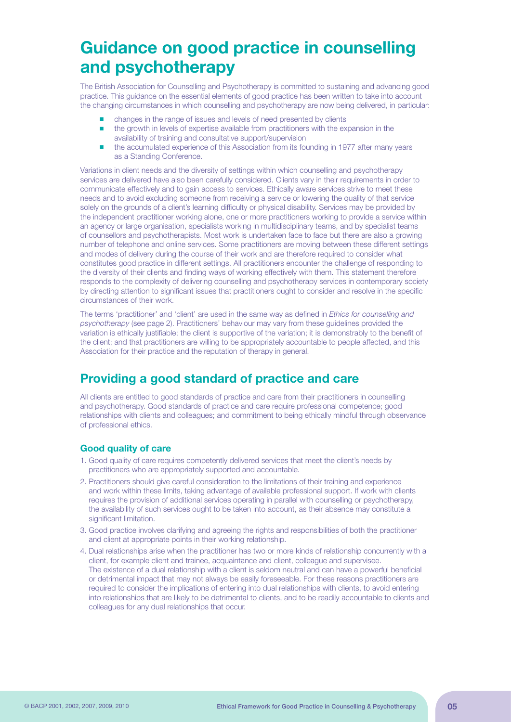# Guidance on good practice in counselling and psychotherapy

The British Association for Counselling and Psychotherapy is committed to sustaining and advancing good practice. This guidance on the essential elements of good practice has been written to take into account the changing circumstances in which counselling and psychotherapy are now being delivered, in particular:

- changes in the range of issues and levels of need presented by clients
- $n =$  the growth in levels of expertise available from practitioners with the expansion in the availability of training and consultative support/supervision
- <sup>n</sup> the accumulated experience of this Association from its founding in 1977 after many years as a Standing Conference.

Variations in client needs and the diversity of settings within which counselling and psychotherapy services are delivered have also been carefully considered. Clients vary in their requirements in order to communicate effectively and to gain access to services. Ethically aware services strive to meet these needs and to avoid excluding someone from receiving a service or lowering the quality of that service solely on the grounds of a client's learning difficulty or physical disability. Services may be provided by the independent practitioner working alone, one or more practitioners working to provide a service within an agency or large organisation, specialists working in multidisciplinary teams, and by specialist teams of counsellors and psychotherapists. Most work is undertaken face to face but there are also a growing number of telephone and online services. Some practitioners are moving between these different settings and modes of delivery during the course of their work and are therefore required to consider what constitutes good practice in different settings. All practitioners encounter the challenge of responding to the diversity of their clients and finding ways of working effectively with them. This statement therefore responds to the complexity of delivering counselling and psychotherapy services in contemporary society by directing attention to significant issues that practitioners ought to consider and resolve in the specific circumstances of their work.

The terms 'practitioner' and 'client' are used in the same way as defined in *Ethics for counselling and psychotherapy* (see page 2). Practitioners' behaviour may vary from these guidelines provided the variation is ethically justifiable; the client is supportive of the variation; it is demonstrably to the benefit of the client; and that practitioners are willing to be appropriately accountable to people affected, and this Association for their practice and the reputation of therapy in general.

# Providing a good standard of practice and care

All clients are entitled to good standards of practice and care from their practitioners in counselling and psychotherapy. Good standards of practice and care require professional competence; good relationships with clients and colleagues; and commitment to being ethically mindful through observance of professional ethics.

### Good quality of care

- 1. Good quality of care requires competently delivered services that meet the client's needs by practitioners who are appropriately supported and accountable.
- 2. Practitioners should give careful consideration to the limitations of their training and experience and work within these limits, taking advantage of available professional support. If work with clients requires the provision of additional services operating in parallel with counselling or psychotherapy, the availability of such services ought to be taken into account, as their absence may constitute a significant limitation.
- 3. Good practice involves clarifying and agreeing the rights and responsibilities of both the practitioner and client at appropriate points in their working relationship.
- 4. Dual relationships arise when the practitioner has two or more kinds of relationship concurrently with a client, for example client and trainee, acquaintance and client, colleague and supervisee. The existence of a dual relationship with a client is seldom neutral and can have a powerful beneficial or detrimental impact that may not always be easily foreseeable. For these reasons practitioners are required to consider the implications of entering into dual relationships with clients, to avoid entering into relationships that are likely to be detrimental to clients, and to be readily accountable to clients and colleagues for any dual relationships that occur.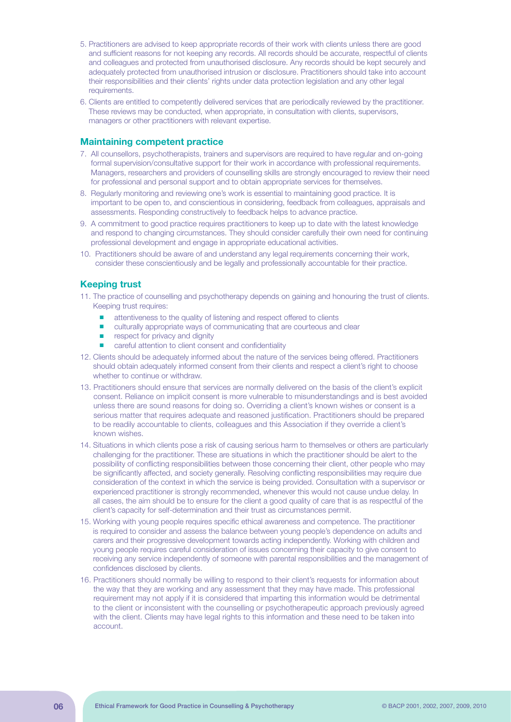- 5. Practitioners are advised to keep appropriate records of their work with clients unless there are good and sufficient reasons for not keeping any records. All records should be accurate, respectful of clients and colleagues and protected from unauthorised disclosure. Any records should be kept securely and adequately protected from unauthorised intrusion or disclosure. Practitioners should take into account their responsibilities and their clients' rights under data protection legislation and any other legal requirements.
- 6. Clients are entitled to competently delivered services that are periodically reviewed by the practitioner. These reviews may be conducted, when appropriate, in consultation with clients, supervisors, managers or other practitioners with relevant expertise.

### Maintaining competent practice

- 7. All counsellors, psychotherapists, trainers and supervisors are required to have regular and on-going formal supervision/consultative support for their work in accordance with professional requirements. Managers, researchers and providers of counselling skills are strongly encouraged to review their need for professional and personal support and to obtain appropriate services for themselves.
- 8. Regularly monitoring and reviewing one's work is essential to maintaining good practice. It is important to be open to, and conscientious in considering, feedback from colleagues, appraisals and assessments. Responding constructively to feedback helps to advance practice.
- 9. A commitment to good practice requires practitioners to keep up to date with the latest knowledge and respond to changing circumstances. They should consider carefully their own need for continuing professional development and engage in appropriate educational activities.
- 10. Practitioners should be aware of and understand any legal requirements concerning their work, consider these conscientiously and be legally and professionally accountable for their practice.

#### Keeping trust

- 11. The practice of counselling and psychotherapy depends on gaining and honouring the trust of clients. Keeping trust requires:
	- attentiveness to the quality of listening and respect offered to clients
	- culturally appropriate ways of communicating that are courteous and clear
	- $\blacksquare$  respect for privacy and dignity
	- <sup>n</sup> careful attention to client consent and confidentiality
- 12. Clients should be adequately informed about the nature of the services being offered. Practitioners should obtain adequately informed consent from their clients and respect a client's right to choose whether to continue or withdraw.
- 13. Practitioners should ensure that services are normally delivered on the basis of the client's explicit consent. Reliance on implicit consent is more vulnerable to misunderstandings and is best avoided unless there are sound reasons for doing so. Overriding a client's known wishes or consent is a serious matter that requires adequate and reasoned justification. Practitioners should be prepared to be readily accountable to clients, colleagues and this Association if they override a client's known wishes.
- 14. Situations in which clients pose a risk of causing serious harm to themselves or others are particularly challenging for the practitioner. These are situations in which the practitioner should be alert to the possibility of conflicting responsibilities between those concerning their client, other people who may be significantly affected, and society generally. Resolving conflicting responsibilities may require due consideration of the context in which the service is being provided. Consultation with a supervisor or experienced practitioner is strongly recommended, whenever this would not cause undue delay. In all cases, the aim should be to ensure for the client a good quality of care that is as respectful of the client's capacity for self-determination and their trust as circumstances permit.
- 15. Working with young people requires specific ethical awareness and competence. The practitioner is required to consider and assess the balance between young people's dependence on adults and carers and their progressive development towards acting independently. Working with children and young people requires careful consideration of issues concerning their capacity to give consent to receiving any service independently of someone with parental responsibilities and the management of confidences disclosed by clients.
- 16. Practitioners should normally be willing to respond to their client's requests for information about the way that they are working and any assessment that they may have made. This professional requirement may not apply if it is considered that imparting this information would be detrimental to the client or inconsistent with the counselling or psychotherapeutic approach previously agreed with the client. Clients may have legal rights to this information and these need to be taken into account.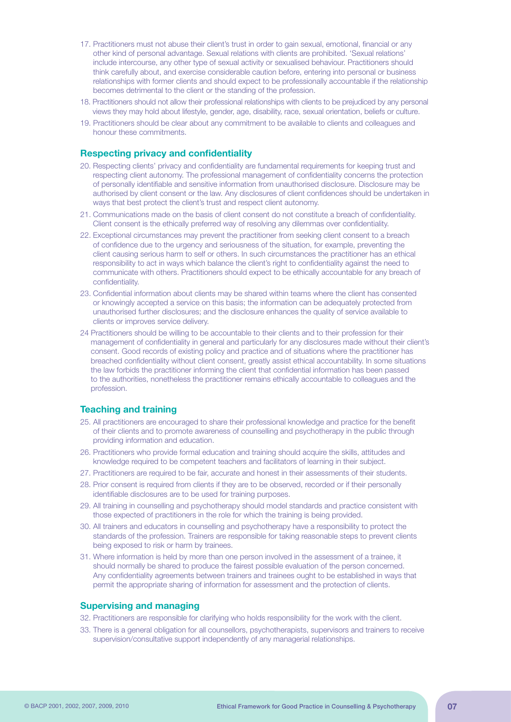- 17. Practitioners must not abuse their client's trust in order to gain sexual, emotional, financial or any other kind of personal advantage. Sexual relations with clients are prohibited. 'Sexual relations' include intercourse, any other type of sexual activity or sexualised behaviour. Practitioners should think carefully about, and exercise considerable caution before, entering into personal or business relationships with former clients and should expect to be professionally accountable if the relationship becomes detrimental to the client or the standing of the profession.
- 18. Practitioners should not allow their professional relationships with clients to be prejudiced by any personal views they may hold about lifestyle, gender, age, disability, race, sexual orientation, beliefs or culture.
- 19. Practitioners should be clear about any commitment to be available to clients and colleagues and honour these commitments.

#### Respecting privacy and confidentiality

- 20. Respecting clients' privacy and confidentiality are fundamental requirements for keeping trust and respecting client autonomy. The professional management of confidentiality concerns the protection of personally identifiable and sensitive information from unauthorised disclosure. Disclosure may be authorised by client consent or the law. Any disclosures of client confidences should be undertaken in ways that best protect the client's trust and respect client autonomy.
- 21. Communications made on the basis of client consent do not constitute a breach of confidentiality. Client consent is the ethically preferred way of resolving any dilemmas over confidentiality.
- 22. Exceptional circumstances may prevent the practitioner from seeking client consent to a breach of confidence due to the urgency and seriousness of the situation, for example, preventing the client causing serious harm to self or others. In such circumstances the practitioner has an ethical responsibility to act in ways which balance the client's right to confidentiality against the need to communicate with others. Practitioners should expect to be ethically accountable for any breach of confidentiality.
- 23. Confidential information about clients may be shared within teams where the client has consented or knowingly accepted a service on this basis; the information can be adequately protected from unauthorised further disclosures; and the disclosure enhances the quality of service available to clients or improves service delivery.
- 24 Practitioners should be willing to be accountable to their clients and to their profession for their management of confidentiality in general and particularly for any disclosures made without their client's consent. Good records of existing policy and practice and of situations where the practitioner has breached confidentiality without client consent, greatly assist ethical accountability. In some situations the law forbids the practitioner informing the client that confidential information has been passed to the authorities, nonetheless the practitioner remains ethically accountable to colleagues and the profession.

### Teaching and training

- 25. All practitioners are encouraged to share their professional knowledge and practice for the benefit of their clients and to promote awareness of counselling and psychotherapy in the public through providing information and education.
- 26. Practitioners who provide formal education and training should acquire the skills, attitudes and knowledge required to be competent teachers and facilitators of learning in their subject.
- 27. Practitioners are required to be fair, accurate and honest in their assessments of their students.
- 28. Prior consent is required from clients if they are to be observed, recorded or if their personally identifiable disclosures are to be used for training purposes.
- 29. All training in counselling and psychotherapy should model standards and practice consistent with those expected of practitioners in the role for which the training is being provided.
- 30. All trainers and educators in counselling and psychotherapy have a responsibility to protect the standards of the profession. Trainers are responsible for taking reasonable steps to prevent clients being exposed to risk or harm by trainees.
- 31. Where information is held by more than one person involved in the assessment of a trainee, it should normally be shared to produce the fairest possible evaluation of the person concerned. Any confidentiality agreements between trainers and trainees ought to be established in ways that permit the appropriate sharing of information for assessment and the protection of clients.

## Supervising and managing

- 32. Practitioners are responsible for clarifying who holds responsibility for the work with the client.
- 33. There is a general obligation for all counsellors, psychotherapists, supervisors and trainers to receive supervision/consultative support independently of any managerial relationships.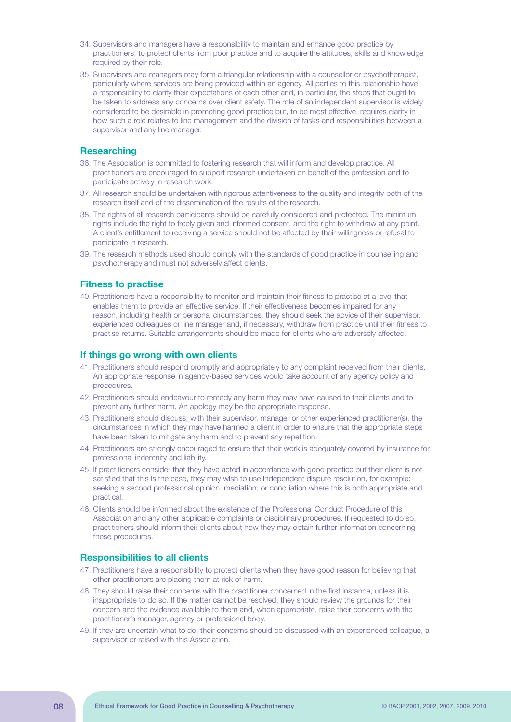- 34. Supervisors and managers have a responsibility to maintain and enhance good practice by practitioners, to protect clients from poor practice and to acquire the attitudes, skills and knowledge required by their role.
- 35. Supervisors and managers may form a triangular relationship with a counsellor or psychotherapist, particularly where services are being provided within an agency. All parties to this relationship have a responsibility to clarify their expectations of each other and, in particular, the steps that ought to be taken to address any concerns over client safety. The role of an independent supervisor is widely considered to be desirable in promoting good practice but, to be most effective, requires clarity in how such a role relates to line management and the division of tasks and responsibilities between a supervisor and any line manager.

#### **Researching**

- 36. The Association is committed to fostering research that will inform and develop practice. All practitioners are encouraged to support research undertaken on behalf of the profession and to participate actively in research work.
- 37. All research should be undertaken with rigorous attentiveness to the quality and integrity both of the research itself and of the dissemination of the results of the research.
- 38. The rights of all research participants should be carefully considered and protected. The minimum rights include the right to freely given and informed consent, and the right to withdraw at any point. A client's entitlement to receiving a service should not be affected by their willingness or refusal to participate in research.
- 39. The research methods used should comply with the standards of good practice in counselling and psychotherapy and must not adversely affect clients.

#### Fitness to practise

40. Practitioners have a responsibility to monitor and maintain their fitness to practise at a level that enables them to provide an effective service. If their effectiveness becomes impaired for any reason, including health or personal circumstances, they should seek the advice of their supervisor, experienced colleagues or line manager and, if necessary, withdraw from practice until their fitness to practise returns. Suitable arrangements should be made for clients who are adversely affected.

#### If things go wrong with own clients

- 41. Practitioners should respond promptly and appropriately to any complaint received from their clients. An appropriate response in agency-based services would take account of any agency policy and procedures.
- 42. Practitioners should endeavour to remedy any harm they may have caused to their clients and to prevent any further harm. An apology may be the appropriate response.
- 43. Practitioners should discuss, with their supervisor, manager or other experienced practitioner(s), the circumstances in which they may have harmed a client in order to ensure that the appropriate steps have been taken to mitigate any harm and to prevent any repetition.
- 44. Practitioners are strongly encouraged to ensure that their work is adequately covered by insurance for professional indemnity and liability.
- 45. If practitioners consider that they have acted in accordance with good practice but their client is not satisfied that this is the case, they may wish to use independent dispute resolution, for example: seeking a second professional opinion, mediation, or conciliation where this is both appropriate and practical.
- 46. Clients should be informed about the existence of the Professional Conduct Procedure of this Association and any other applicable complaints or disciplinary procedures. If requested to do so, practitioners should inform their clients about how they may obtain further information concerning these procedures.

#### Responsibilities to all clients

- 47. Practitioners have a responsibility to protect clients when they have good reason for believing that other practitioners are placing them at risk of harm.
- 48. They should raise their concerns with the practitioner concerned in the first instance, unless it is inappropriate to do so. If the matter cannot be resolved, they should review the grounds for their concern and the evidence available to them and, when appropriate, raise their concerns with the practitioner's manager, agency or professional body.
- 49. If they are uncertain what to do, their concerns should be discussed with an experienced colleague, a supervisor or raised with this Association.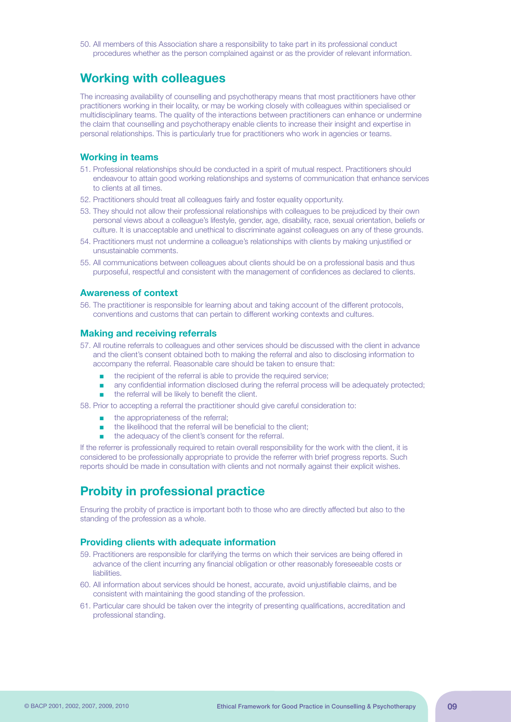50. All members of this Association share a responsibility to take part in its professional conduct procedures whether as the person complained against or as the provider of relevant information.

# Working with colleagues

The increasing availability of counselling and psychotherapy means that most practitioners have other practitioners working in their locality, or may be working closely with colleagues within specialised or multidisciplinary teams. The quality of the interactions between practitioners can enhance or undermine the claim that counselling and psychotherapy enable clients to increase their insight and expertise in personal relationships. This is particularly true for practitioners who work in agencies or teams.

#### Working in teams

- 51. Professional relationships should be conducted in a spirit of mutual respect. Practitioners should endeavour to attain good working relationships and systems of communication that enhance services to clients at all times.
- 52. Practitioners should treat all colleagues fairly and foster equality opportunity.
- 53. They should not allow their professional relationships with colleagues to be prejudiced by their own personal views about a colleague's lifestyle, gender, age, disability, race, sexual orientation, beliefs or culture. It is unacceptable and unethical to discriminate against colleagues on any of these grounds.
- 54. Practitioners must not undermine a colleague's relationships with clients by making unjustified or unsustainable comments.
- 55. All communications between colleagues about clients should be on a professional basis and thus purposeful, respectful and consistent with the management of confidences as declared to clients.

#### Awareness of context

56. The practitioner is responsible for learning about and taking account of the different protocols, conventions and customs that can pertain to different working contexts and cultures.

### Making and receiving referrals

- 57. All routine referrals to colleagues and other services should be discussed with the client in advance and the client's consent obtained both to making the referral and also to disclosing information to accompany the referral. Reasonable care should be taken to ensure that:
	- $\blacksquare$  the recipient of the referral is able to provide the required service;
	- any confidential information disclosed during the referral process will be adequately protected;  $\blacksquare$  the referral will be likely to benefit the client.
- 58. Prior to accepting a referral the practitioner should give careful consideration to:
	- **n** the appropriateness of the referral;
	- $\blacksquare$  the likelihood that the referral will be beneficial to the client;
	- the adequacy of the client's consent for the referral.

If the referrer is professionally required to retain overall responsibility for the work with the client, it is considered to be professionally appropriate to provide the referrer with brief progress reports. Such reports should be made in consultation with clients and not normally against their explicit wishes.

# Probity in professional practice

Ensuring the probity of practice is important both to those who are directly affected but also to the standing of the profession as a whole.

#### Providing clients with adequate information

- 59. Practitioners are responsible for clarifying the terms on which their services are being offered in advance of the client incurring any financial obligation or other reasonably foreseeable costs or liabilities.
- 60. All information about services should be honest, accurate, avoid unjustifiable claims, and be consistent with maintaining the good standing of the profession.
- 61. Particular care should be taken over the integrity of presenting qualifications, accreditation and professional standing.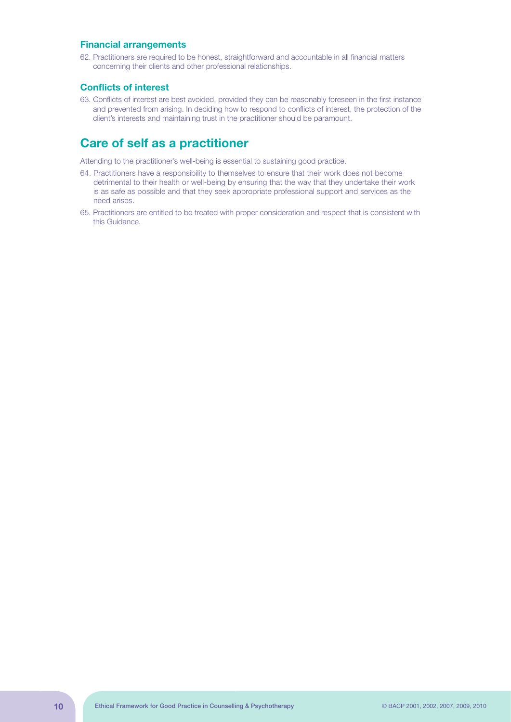#### Financial arrangements

62. Practitioners are required to be honest, straightforward and accountable in all financial matters concerning their clients and other professional relationships.

#### Conflicts of interest

63. Conflicts of interest are best avoided, provided they can be reasonably foreseen in the first instance and prevented from arising. In deciding how to respond to conflicts of interest, the protection of the client's interests and maintaining trust in the practitioner should be paramount.

# Care of self as a practitioner

Attending to the practitioner's well-being is essential to sustaining good practice.

- 64. Practitioners have a responsibility to themselves to ensure that their work does not become detrimental to their health or well-being by ensuring that the way that they undertake their work is as safe as possible and that they seek appropriate professional support and services as the need arises.
- 65. Practitioners are entitled to be treated with proper consideration and respect that is consistent with this Guidance.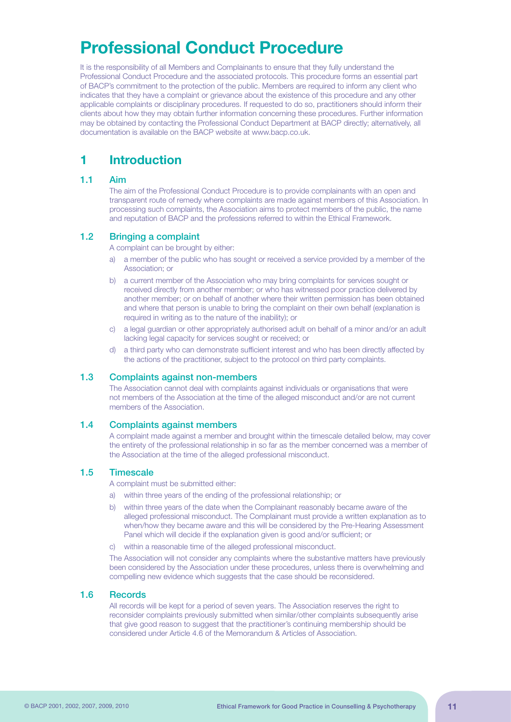# Professional Conduct Procedure

It is the responsibility of all Members and Complainants to ensure that they fully understand the Professional Conduct Procedure and the associated protocols. This procedure forms an essential part of BACP's commitment to the protection of the public. Members are required to inform any client who indicates that they have a complaint or grievance about the existence of this procedure and any other applicable complaints or disciplinary procedures. If requested to do so, practitioners should inform their clients about how they may obtain further information concerning these procedures. Further information may be obtained by contacting the Professional Conduct Department at BACP directly; alternatively, all documentation is available on the BACP website at www.bacp.co.uk.

## 1 Introduction

#### 1.1 Aim

 The aim of the Professional Conduct Procedure is to provide complainants with an open and transparent route of remedy where complaints are made against members of this Association. In processing such complaints, the Association aims to protect members of the public, the name and reputation of BACP and the professions referred to within the Ethical Framework.

#### 1.2 Bringing a complaint

A complaint can be brought by either:

- a) a member of the public who has sought or received a service provided by a member of the Association; or
- b) a current member of the Association who may bring complaints for services sought or received directly from another member; or who has witnessed poor practice delivered by another member; or on behalf of another where their written permission has been obtained and where that person is unable to bring the complaint on their own behalf (explanation is required in writing as to the nature of the inability); or
- c) a legal guardian or other appropriately authorised adult on behalf of a minor and/or an adult lacking legal capacity for services sought or received; or
- d) a third party who can demonstrate sufficient interest and who has been directly affected by the actions of the practitioner, subject to the protocol on third party complaints.

#### 1.3 Complaints against non-members

 The Association cannot deal with complaints against individuals or organisations that were not members of the Association at the time of the alleged misconduct and/or are not current members of the Association.

#### 1.4 Complaints against members

 A complaint made against a member and brought within the timescale detailed below, may cover the entirety of the professional relationship in so far as the member concerned was a member of the Association at the time of the alleged professional misconduct.

### 1.5 Timescale

A complaint must be submitted either:

- a) within three years of the ending of the professional relationship; or
- b) within three years of the date when the Complainant reasonably became aware of the alleged professional misconduct. The Complainant must provide a written explanation as to when/how they became aware and this will be considered by the Pre-Hearing Assessment Panel which will decide if the explanation given is good and/or sufficient; or
- c) within a reasonable time of the alleged professional misconduct.

 The Association will not consider any complaints where the substantive matters have previously been considered by the Association under these procedures, unless there is overwhelming and compelling new evidence which suggests that the case should be reconsidered.

#### 1.6 Records

 All records will be kept for a period of seven years. The Association reserves the right to reconsider complaints previously submitted when similar/other complaints subsequently arise that give good reason to suggest that the practitioner's continuing membership should be considered under Article 4.6 of the Memorandum & Articles of Association.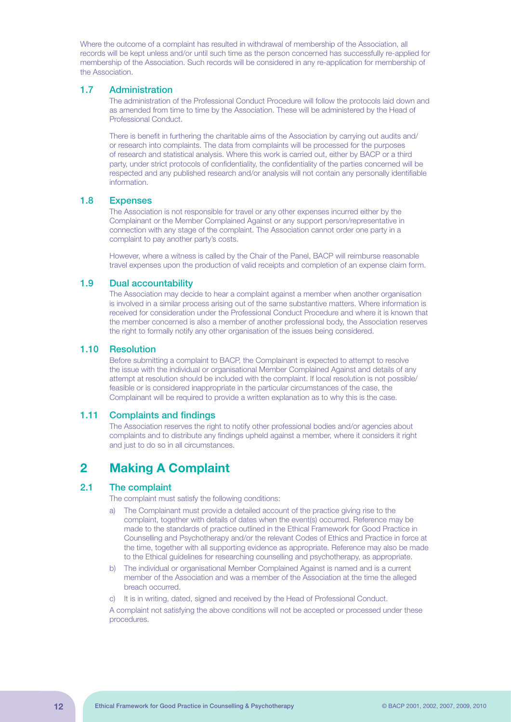Where the outcome of a complaint has resulted in withdrawal of membership of the Association, all records will be kept unless and/or until such time as the person concerned has successfully re-applied for membership of the Association. Such records will be considered in any re-application for membership of the Association.

#### 1.7 Administration

 The administration of the Professional Conduct Procedure will follow the protocols laid down and as amended from time to time by the Association. These will be administered by the Head of Professional Conduct.

 There is benefit in furthering the charitable aims of the Association by carrying out audits and/ or research into complaints. The data from complaints will be processed for the purposes of research and statistical analysis. Where this work is carried out, either by BACP or a third party, under strict protocols of confidentiality, the confidentiality of the parties concerned will be respected and any published research and/or analysis will not contain any personally identifiable information.

#### 1.8 Expenses

 The Association is not responsible for travel or any other expenses incurred either by the Complainant or the Member Complained Against or any support person/representative in connection with any stage of the complaint. The Association cannot order one party in a complaint to pay another party's costs.

 However, where a witness is called by the Chair of the Panel, BACP will reimburse reasonable travel expenses upon the production of valid receipts and completion of an expense claim form.

#### 1.9 Dual accountability

 The Association may decide to hear a complaint against a member when another organisation is involved in a similar process arising out of the same substantive matters. Where information is received for consideration under the Professional Conduct Procedure and where it is known that the member concerned is also a member of another professional body, the Association reserves the right to formally notify any other organisation of the issues being considered.

#### 1.10 Resolution

 Before submitting a complaint to BACP, the Complainant is expected to attempt to resolve the issue with the individual or organisational Member Complained Against and details of any attempt at resolution should be included with the complaint. If local resolution is not possible/ feasible or is considered inappropriate in the particular circumstances of the case, the Complainant will be required to provide a written explanation as to why this is the case.

#### 1.11 Complaints and findings

 The Association reserves the right to notify other professional bodies and/or agencies about complaints and to distribute any findings upheld against a member, where it considers it right and just to do so in all circumstances.

## 2 Making A Complaint

#### 2.1 The complaint

The complaint must satisfy the following conditions:

- a) The Complainant must provide a detailed account of the practice giving rise to the complaint, together with details of dates when the event(s) occurred. Reference may be made to the standards of practice outlined in the Ethical Framework for Good Practice in Counselling and Psychotherapy and/or the relevant Codes of Ethics and Practice in force at the time, together with all supporting evidence as appropriate. Reference may also be made to the Ethical guidelines for researching counselling and psychotherapy, as appropriate.
- b) The individual or organisational Member Complained Against is named and is a current member of the Association and was a member of the Association at the time the alleged breach occurred.
- c) It is in writing, dated, signed and received by the Head of Professional Conduct.

 A complaint not satisfying the above conditions will not be accepted or processed under these procedures.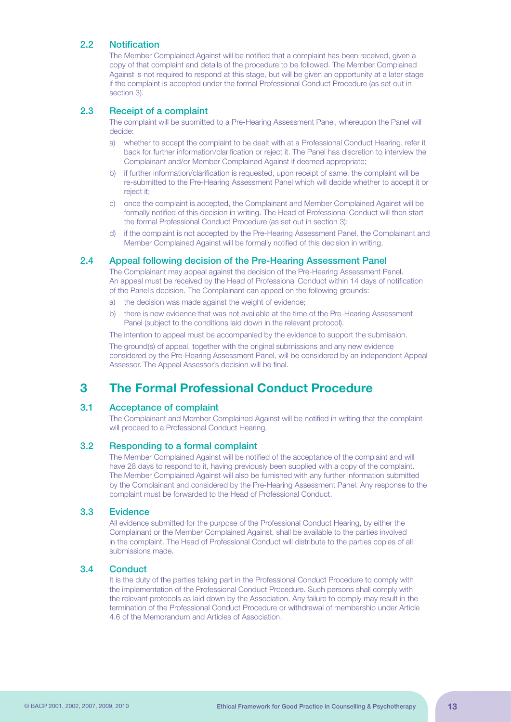## 2.2 Notification

 The Member Complained Against will be notified that a complaint has been received, given a copy of that complaint and details of the procedure to be followed. The Member Complained Against is not required to respond at this stage, but will be given an opportunity at a later stage if the complaint is accepted under the formal Professional Conduct Procedure (as set out in section 3).

## 2.3 Receipt of a complaint

 The complaint will be submitted to a Pre-Hearing Assessment Panel, whereupon the Panel will decide:

- a) whether to accept the complaint to be dealt with at a Professional Conduct Hearing, refer it back for further information/clarification or reject it. The Panel has discretion to interview the Complainant and/or Member Complained Against if deemed appropriate;
- b) if further information/clarification is requested, upon receipt of same, the complaint will be re-submitted to the Pre-Hearing Assessment Panel which will decide whether to accept it or reject it;
- c) once the complaint is accepted, the Complainant and Member Complained Against will be formally notified of this decision in writing. The Head of Professional Conduct will then start the formal Professional Conduct Procedure (as set out in section 3);
- d) if the complaint is not accepted by the Pre-Hearing Assessment Panel, the Complainant and Member Complained Against will be formally notified of this decision in writing.

#### 2.4 Appeal following decision of the Pre-Hearing Assessment Panel

 The Complainant may appeal against the decision of the Pre-Hearing Assessment Panel. An appeal must be received by the Head of Professional Conduct within 14 days of notification of the Panel's decision. The Complainant can appeal on the following grounds:

- a) the decision was made against the weight of evidence;
- b) there is new evidence that was not available at the time of the Pre-Hearing Assessment Panel (subject to the conditions laid down in the relevant protocol).

The intention to appeal must be accompanied by the evidence to support the submission.

 The ground(s) of appeal, together with the original submissions and any new evidence considered by the Pre-Hearing Assessment Panel, will be considered by an independent Appeal Assessor. The Appeal Assessor's decision will be final.

# 3 The Formal Professional Conduct Procedure

#### 3.1 Acceptance of complaint

 The Complainant and Member Complained Against will be notified in writing that the complaint will proceed to a Professional Conduct Hearing.

### 3.2 Responding to a formal complaint

 The Member Complained Against will be notified of the acceptance of the complaint and will have 28 days to respond to it, having previously been supplied with a copy of the complaint. The Member Complained Against will also be furnished with any further information submitted by the Complainant and considered by the Pre-Hearing Assessment Panel. Any response to the complaint must be forwarded to the Head of Professional Conduct.

#### 3.3 Evidence

 All evidence submitted for the purpose of the Professional Conduct Hearing, by either the Complainant or the Member Complained Against, shall be available to the parties involved in the complaint. The Head of Professional Conduct will distribute to the parties copies of all submissions made.

## 3.4 Conduct

 It is the duty of the parties taking part in the Professional Conduct Procedure to comply with the implementation of the Professional Conduct Procedure. Such persons shall comply with the relevant protocols as laid down by the Association. Any failure to comply may result in the termination of the Professional Conduct Procedure or withdrawal of membership under Article 4.6 of the Memorandum and Articles of Association.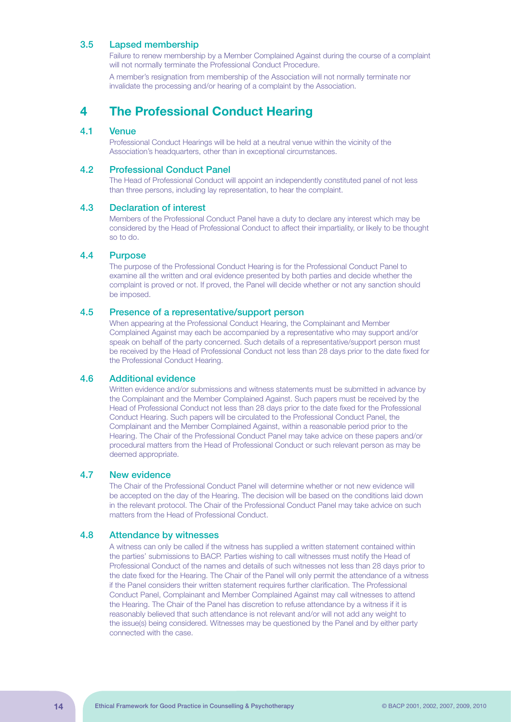## 3.5 Lapsed membership

 Failure to renew membership by a Member Complained Against during the course of a complaint will not normally terminate the Professional Conduct Procedure.

A member's resignation from membership of the Association will not normally terminate nor invalidate the processing and/or hearing of a complaint by the Association.

# 4 The Professional Conduct Hearing

#### 4.1 Venue

 Professional Conduct Hearings will be held at a neutral venue within the vicinity of the Association's headquarters, other than in exceptional circumstances.

#### 4.2 Professional Conduct Panel

 The Head of Professional Conduct will appoint an independently constituted panel of not less than three persons, including lay representation, to hear the complaint.

#### 4.3 Declaration of interest

 Members of the Professional Conduct Panel have a duty to declare any interest which may be considered by the Head of Professional Conduct to affect their impartiality, or likely to be thought so to do.

#### 4.4 Purpose

 The purpose of the Professional Conduct Hearing is for the Professional Conduct Panel to examine all the written and oral evidence presented by both parties and decide whether the complaint is proved or not. If proved, the Panel will decide whether or not any sanction should be imposed.

## 4.5 Presence of a representative/support person

 When appearing at the Professional Conduct Hearing, the Complainant and Member Complained Against may each be accompanied by a representative who may support and/or speak on behalf of the party concerned. Such details of a representative/support person must be received by the Head of Professional Conduct not less than 28 days prior to the date fixed for the Professional Conduct Hearing.

#### 4.6 Additional evidence

 Written evidence and/or submissions and witness statements must be submitted in advance by the Complainant and the Member Complained Against. Such papers must be received by the Head of Professional Conduct not less than 28 days prior to the date fixed for the Professional Conduct Hearing. Such papers will be circulated to the Professional Conduct Panel, the Complainant and the Member Complained Against, within a reasonable period prior to the Hearing. The Chair of the Professional Conduct Panel may take advice on these papers and/or procedural matters from the Head of Professional Conduct or such relevant person as may be deemed appropriate.

#### 4.7 New evidence

 The Chair of the Professional Conduct Panel will determine whether or not new evidence will be accepted on the day of the Hearing. The decision will be based on the conditions laid down in the relevant protocol. The Chair of the Professional Conduct Panel may take advice on such matters from the Head of Professional Conduct.

#### 4.8 Attendance by witnesses

 A witness can only be called if the witness has supplied a written statement contained within the parties' submissions to BACP. Parties wishing to call witnesses must notify the Head of Professional Conduct of the names and details of such witnesses not less than 28 days prior to the date fixed for the Hearing. The Chair of the Panel will only permit the attendance of a witness if the Panel considers their written statement requires further clarification. The Professional Conduct Panel, Complainant and Member Complained Against may call witnesses to attend the Hearing. The Chair of the Panel has discretion to refuse attendance by a witness if it is reasonably believed that such attendance is not relevant and/or will not add any weight to the issue(s) being considered. Witnesses may be questioned by the Panel and by either party connected with the case.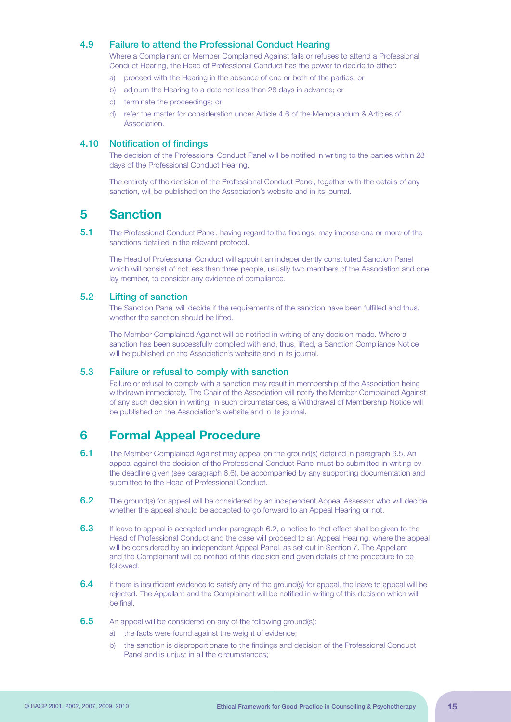### 4.9 Failure to attend the Professional Conduct Hearing

 Where a Complainant or Member Complained Against fails or refuses to attend a Professional Conduct Hearing, the Head of Professional Conduct has the power to decide to either:

- a) proceed with the Hearing in the absence of one or both of the parties; or
- b) adjourn the Hearing to a date not less than 28 days in advance; or
- c) terminate the proceedings; or
- d) refer the matter for consideration under Article 4.6 of the Memorandum & Articles of **Association**

## 4.10 Notification of findings

 The decision of the Professional Conduct Panel will be notified in writing to the parties within 28 days of the Professional Conduct Hearing.

 The entirety of the decision of the Professional Conduct Panel, together with the details of any sanction, will be published on the Association's website and in its journal.

## 5 Sanction

5.1 The Professional Conduct Panel, having regard to the findings, may impose one or more of the sanctions detailed in the relevant protocol.

 The Head of Professional Conduct will appoint an independently constituted Sanction Panel which will consist of not less than three people, usually two members of the Association and one lay member, to consider any evidence of compliance.

#### 5.2 Lifting of sanction

 The Sanction Panel will decide if the requirements of the sanction have been fulfilled and thus, whether the sanction should be lifted.

 The Member Complained Against will be notified in writing of any decision made. Where a sanction has been successfully complied with and, thus, lifted, a Sanction Compliance Notice will be published on the Association's website and in its journal.

## 5.3 Failure or refusal to comply with sanction

 Failure or refusal to comply with a sanction may result in membership of the Association being withdrawn immediately. The Chair of the Association will notify the Member Complained Against of any such decision in writing. In such circumstances, a Withdrawal of Membership Notice will be published on the Association's website and in its journal.

## 6 Formal Appeal Procedure

- **6.1** The Member Complained Against may appeal on the ground(s) detailed in paragraph 6.5. An appeal against the decision of the Professional Conduct Panel must be submitted in writing by the deadline given (see paragraph 6.6), be accompanied by any supporting documentation and submitted to the Head of Professional Conduct.
- **6.2** The ground(s) for appeal will be considered by an independent Appeal Assessor who will decide whether the appeal should be accepted to go forward to an Appeal Hearing or not.
- **6.3** If leave to appeal is accepted under paragraph 6.2, a notice to that effect shall be given to the Head of Professional Conduct and the case will proceed to an Appeal Hearing, where the appeal will be considered by an independent Appeal Panel, as set out in Section 7. The Appellant and the Complainant will be notified of this decision and given details of the procedure to be followed.
- 6.4 If there is insufficient evidence to satisfy any of the ground(s) for appeal, the leave to appeal will be rejected. The Appellant and the Complainant will be notified in writing of this decision which will be final.
- **6.5** An appeal will be considered on any of the following ground(s):
	- a) the facts were found against the weight of evidence;
	- b) the sanction is disproportionate to the findings and decision of the Professional Conduct Panel and is unjust in all the circumstances;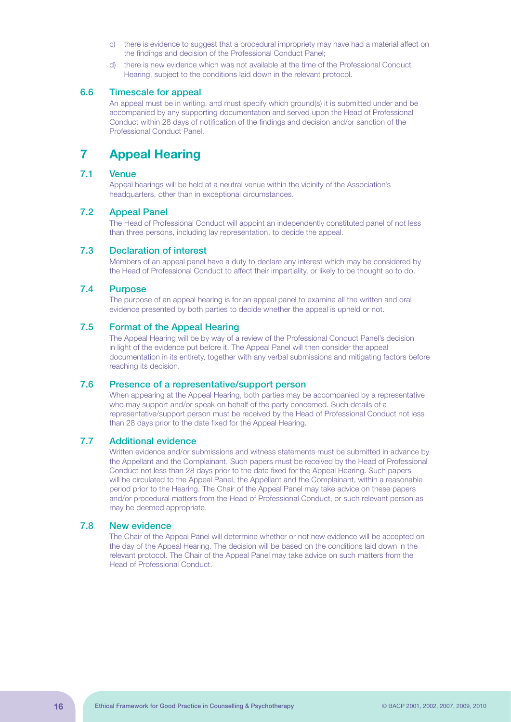- c) there is evidence to suggest that a procedural impropriety may have had a material affect on the findings and decision of the Professional Conduct Panel;
- d) there is new evidence which was not available at the time of the Professional Conduct Hearing, subject to the conditions laid down in the relevant protocol.

#### 6.6 Timescale for appeal

 An appeal must be in writing, and must specify which ground(s) it is submitted under and be accompanied by any supporting documentation and served upon the Head of Professional Conduct within 28 days of notification of the findings and decision and/or sanction of the Professional Conduct Panel.

## 7 Appeal Hearing

### 7.1 Venue

 Appeal hearings will be held at a neutral venue within the vicinity of the Association's headquarters, other than in exceptional circumstances.

#### 7.2 Appeal Panel

 The Head of Professional Conduct will appoint an independently constituted panel of not less than three persons, including lay representation, to decide the appeal.

#### 7.3 Declaration of interest

 Members of an appeal panel have a duty to declare any interest which may be considered by the Head of Professional Conduct to affect their impartiality, or likely to be thought so to do.

#### 7.4 Purpose

 The purpose of an appeal hearing is for an appeal panel to examine all the written and oral evidence presented by both parties to decide whether the appeal is upheld or not.

### 7.5 Format of the Appeal Hearing

 The Appeal Hearing will be by way of a review of the Professional Conduct Panel's decision in light of the evidence put before it. The Appeal Panel will then consider the appeal documentation in its entirety, together with any verbal submissions and mitigating factors before reaching its decision.

### 7.6 Presence of a representative/support person

 When appearing at the Appeal Hearing, both parties may be accompanied by a representative who may support and/or speak on behalf of the party concerned. Such details of a representative/support person must be received by the Head of Professional Conduct not less than 28 days prior to the date fixed for the Appeal Hearing.

#### 7.7 Additional evidence

 Written evidence and/or submissions and witness statements must be submitted in advance by the Appellant and the Complainant. Such papers must be received by the Head of Professional Conduct not less than 28 days prior to the date fixed for the Appeal Hearing. Such papers will be circulated to the Appeal Panel, the Appellant and the Complainant, within a reasonable period prior to the Hearing. The Chair of the Appeal Panel may take advice on these papers and/or procedural matters from the Head of Professional Conduct, or such relevant person as may be deemed appropriate.

#### 7.8 New evidence

 The Chair of the Appeal Panel will determine whether or not new evidence will be accepted on the day of the Appeal Hearing. The decision will be based on the conditions laid down in the relevant protocol. The Chair of the Appeal Panel may take advice on such matters from the Head of Professional Conduct.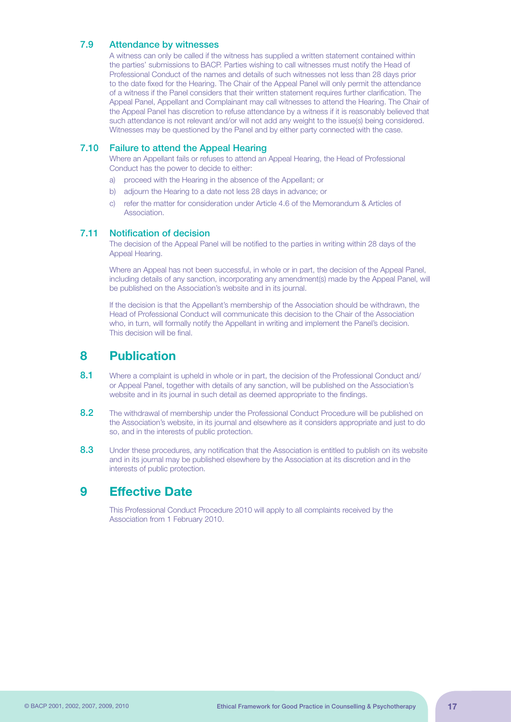## 7.9 Attendance by witnesses

 A witness can only be called if the witness has supplied a written statement contained within the parties' submissions to BACP. Parties wishing to call witnesses must notify the Head of Professional Conduct of the names and details of such witnesses not less than 28 days prior to the date fixed for the Hearing. The Chair of the Appeal Panel will only permit the attendance of a witness if the Panel considers that their written statement requires further clarification. The Appeal Panel, Appellant and Complainant may call witnesses to attend the Hearing. The Chair of the Appeal Panel has discretion to refuse attendance by a witness if it is reasonably believed that such attendance is not relevant and/or will not add any weight to the issue(s) being considered. Witnesses may be questioned by the Panel and by either party connected with the case.

### 7.10 Failure to attend the Appeal Hearing

 Where an Appellant fails or refuses to attend an Appeal Hearing, the Head of Professional Conduct has the power to decide to either:

- a) proceed with the Hearing in the absence of the Appellant; or
- b) adjourn the Hearing to a date not less 28 days in advance; or
- c) refer the matter for consideration under Article 4.6 of the Memorandum & Articles of Association.

#### 7.11 Notification of decision

 The decision of the Appeal Panel will be notified to the parties in writing within 28 days of the Appeal Hearing.

 Where an Appeal has not been successful, in whole or in part, the decision of the Appeal Panel, including details of any sanction, incorporating any amendment(s) made by the Appeal Panel, will be published on the Association's website and in its journal.

 If the decision is that the Appellant's membership of the Association should be withdrawn, the Head of Professional Conduct will communicate this decision to the Chair of the Association who, in turn, will formally notify the Appellant in writing and implement the Panel's decision. This decision will be final.

# 8 Publication

- 8.1 Where a complaint is upheld in whole or in part, the decision of the Professional Conduct and/ or Appeal Panel, together with details of any sanction, will be published on the Association's website and in its journal in such detail as deemed appropriate to the findings.
- 8.2 The withdrawal of membership under the Professional Conduct Procedure will be published on the Association's website, in its journal and elsewhere as it considers appropriate and just to do so, and in the interests of public protection.
- 8.3 Under these procedures, any notification that the Association is entitled to publish on its website and in its journal may be published elsewhere by the Association at its discretion and in the interests of public protection.

## 9 Effective Date

 This Professional Conduct Procedure 2010 will apply to all complaints received by the Association from 1 February 2010.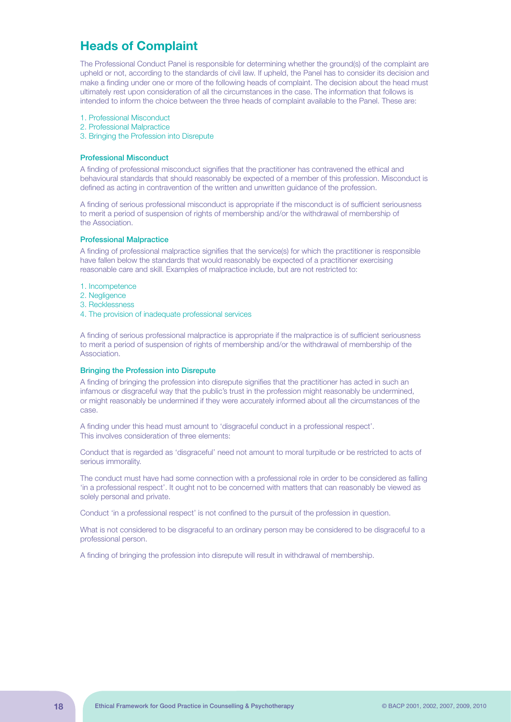# Heads of Complaint

The Professional Conduct Panel is responsible for determining whether the ground(s) of the complaint are upheld or not, according to the standards of civil law. If upheld, the Panel has to consider its decision and make a finding under one or more of the following heads of complaint. The decision about the head must ultimately rest upon consideration of all the circumstances in the case. The information that follows is intended to inform the choice between the three heads of complaint available to the Panel. These are:

- 1. Professional Misconduct
- 2. Professional Malpractice
- 3. Bringing the Profession into Disrepute

#### Professional Misconduct

A finding of professional misconduct signifies that the practitioner has contravened the ethical and behavioural standards that should reasonably be expected of a member of this profession. Misconduct is defined as acting in contravention of the written and unwritten guidance of the profession.

A finding of serious professional misconduct is appropriate if the misconduct is of sufficient seriousness to merit a period of suspension of rights of membership and/or the withdrawal of membership of the Association.

#### Professional Malpractice

A finding of professional malpractice signifies that the service(s) for which the practitioner is responsible have fallen below the standards that would reasonably be expected of a practitioner exercising reasonable care and skill. Examples of malpractice include, but are not restricted to:

- 1. Incompetence
- 2. Negligence
- 3. Recklessness
- 4. The provision of inadequate professional services

A finding of serious professional malpractice is appropriate if the malpractice is of sufficient seriousness to merit a period of suspension of rights of membership and/or the withdrawal of membership of the Association.

#### Bringing the Profession into Disrepute

A finding of bringing the profession into disrepute signifies that the practitioner has acted in such an infamous or disgraceful way that the public's trust in the profession might reasonably be undermined, or might reasonably be undermined if they were accurately informed about all the circumstances of the case.

A finding under this head must amount to 'disgraceful conduct in a professional respect'. This involves consideration of three elements:

Conduct that is regarded as 'disgraceful' need not amount to moral turpitude or be restricted to acts of serious immorality.

The conduct must have had some connection with a professional role in order to be considered as falling 'in a professional respect'. It ought not to be concerned with matters that can reasonably be viewed as solely personal and private.

Conduct 'in a professional respect' is not confined to the pursuit of the profession in question.

What is not considered to be disgraceful to an ordinary person may be considered to be disgraceful to a professional person.

A finding of bringing the profession into disrepute will result in withdrawal of membership.